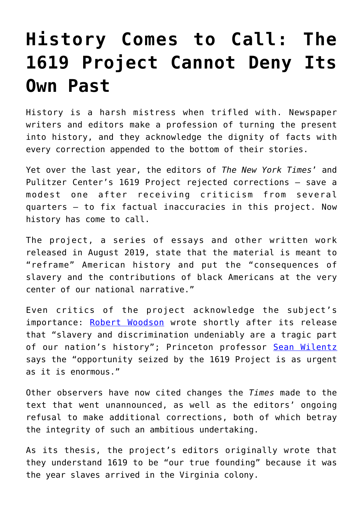## **[History Comes to Call: The](https://intellectualtakeout.org/2020/09/history-comes-to-call-the-1619-project-cannot-deny-its-own-past/) [1619 Project Cannot Deny Its](https://intellectualtakeout.org/2020/09/history-comes-to-call-the-1619-project-cannot-deny-its-own-past/) [Own Past](https://intellectualtakeout.org/2020/09/history-comes-to-call-the-1619-project-cannot-deny-its-own-past/)**

History is a harsh mistress when trifled with. Newspaper writers and editors make a profession of turning the present into history, and they acknowledge the dignity of facts with every correction appended to the bottom of their stories.

Yet over the last year, the editors of *The New York Times*' and Pulitzer Center's 1619 Project rejected corrections – save a modest one after receiving criticism from several quarters – to fix factual inaccuracies in this project. Now history has come to call.

The project, a series of essays and other written work released in August 2019, state that the material is meant to "reframe" American history and put the "consequences of slavery and the contributions of black Americans at the very center of our national narrative."

Even critics of the project acknowledge the subject's importance: [Robert Woodson](https://1776unites.com/essays/the-crucial-voice-of-1776/) wrote shortly after its release that "slavery and discrimination undeniably are a tragic part of our nation's history"; Princeton professor [Sean Wilentz](https://www.theatlantic.com/ideas/archive/2020/01/1619-project-new-york-times-wilentz/605152/) says the "opportunity seized by the 1619 Project is as urgent as it is enormous."

Other observers have now cited changes the *Times* made to the text that went unannounced, as well as the editors' ongoing refusal to make additional corrections, both of which betray the integrity of such an ambitious undertaking.

As its thesis, the project's editors originally wrote that they understand 1619 to be "our true founding" because it was the year slaves arrived in the Virginia colony.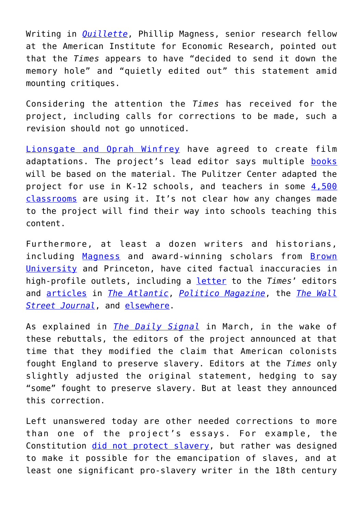Writing in *[Quillette](https://quillette.com/2020/09/19/down-the-1619-projects-memory-hole/)*, Phillip Magness, senior research fellow at the American Institute for Economic Research, pointed out that the *Times* appears to have "decided to send it down the memory hole" and "quietly edited out" this statement amid mounting critiques.

Considering the attention the *Times* has received for the project, including calls for corrections to be made, such a revision should not go unnoticed.

[Lionsgate and Oprah Winfrey](http://investors.lionsgate.com/press-releases-and-events/press-releases/2020/07-08-2020-170100962) have agreed to create film adaptations. The project's lead editor says multiple [books](https://www.pbs.org/newshour/nation/new-york-times-1619-project-inspires-a-book-series) will be based on the material. The Pulitzer Center adapted the project for use in K-12 schools, and teachers in some [4,500](https://pulitzercenter.org/blog/nikole-hannah-jones-wins-pulitzer-prize-1619-project) [classrooms](https://pulitzercenter.org/blog/nikole-hannah-jones-wins-pulitzer-prize-1619-project) are using it. It's not clear how any changes made to the project will find their way into schools teaching this content.

Furthermore, at least a dozen writers and historians, including [Magness](https://www.aier.org/staffs/phillip-w-magness/) and award-winning scholars from [Brown](https://www.wsws.org/en/articles/2019/11/28/wood-n28.html) [University](https://www.wsws.org/en/articles/2019/11/28/wood-n28.html) and Princeton, have cited factual inaccuracies in high-profile outlets, including a [letter](https://www.nytimes.com/2019/12/20/magazine/we-respond-to-the-historians-who-critiqued-the-1619-project.html) to the *Times*' editors and [articles](https://www.theatlantic.com/ideas/archive/2020/01/inclusive-case-1776-not-1619/604435/) in *[The Atlantic](https://www.theatlantic.com/ideas/archive/2020/01/1619-project-new-york-times-wilentz/605152/)*, *[Politico Magazine](https://www.politico.com/news/magazine/2020/03/06/1619-project-new-york-times-mistake-122248)*, the *[The Wall](https://www.wsj.com/articles/the-1619-project-tells-a-false-story-about-capitalism-too-11588956387) [Street Journal](https://www.wsj.com/articles/the-1619-project-tells-a-false-story-about-capitalism-too-11588956387)*, and [elsewhere](https://www.washingtonpost.com/outlook/2019/08/23/everyone-is-talking-about-thats-not-actually-when-slavery-america-started/).

As explained in *[The Daily Signal](https://www.dailysignal.com/2020/03/15/the-new-york-times-begins-correcting-the-historical-record-on-1619-project/)* in March, in the wake of these rebuttals, the editors of the project announced at that time that they modified the claim that American colonists fought England to preserve slavery. Editors at the *Times* only slightly adjusted the original statement, hedging to say "some" fought to preserve slavery. But at least they announced this correction.

Left unanswered today are other needed corrections to more than one of the project's essays. For example, the Constitution [did not protect slavery](https://www.city-journal.org/1619-project-conspiracy-theory), but rather was designed to make it possible for the emancipation of slaves, and at least one significant pro-slavery writer in the 18th century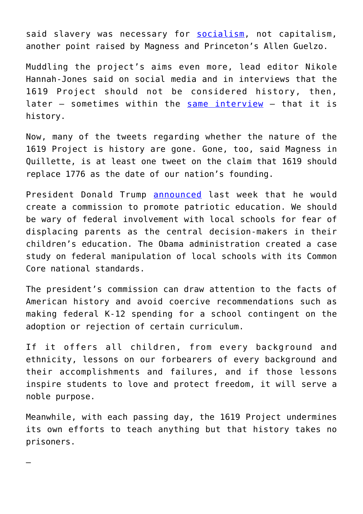said slavery was necessary for [socialism](https://www.aier.org/article/the-case-for-retracting-matthew-desmonds-1619-project-essay/), not capitalism, another point raised by Magness and Princeton's Allen Guelzo.

Muddling the project's aims even more, lead editor Nikole Hannah-Jones said on social media and in interviews that the 1619 Project should not be considered history, then, later – sometimes within the [same interview](https://fredericksburg.com/opinion/commentary-1619-project-editor-eschews-history-label/article_f893d645-d7ca-5836-ba43-60a28353f196.html) – that it is history.

Now, many of the tweets regarding whether the nature of the 1619 Project is history are gone. Gone, too, said Magness in Quillette, is at least one tweet on the claim that 1619 should replace 1776 as the date of our nation's founding.

President Donald Trump [announced](https://www.whitehouse.gov/briefings-statements/remarks-president-trump-white-house-conference-american-history/) last week that he would create a commission to promote patriotic education. We should be wary of federal involvement with local schools for fear of displacing parents as the central decision-makers in their children's education. The Obama administration created a case study on federal manipulation of local schools with its Common Core national standards.

The president's commission can draw attention to the facts of American history and avoid coercive recommendations such as making federal K-12 spending for a school contingent on the adoption or rejection of certain curriculum.

If it offers all children, from every background and ethnicity, lessons on our forbearers of every background and their accomplishments and failures, and if those lessons inspire students to love and protect freedom, it will serve a noble purpose.

Meanwhile, with each passing day, the 1619 Project undermines its own efforts to teach anything but that history takes no prisoners.

—